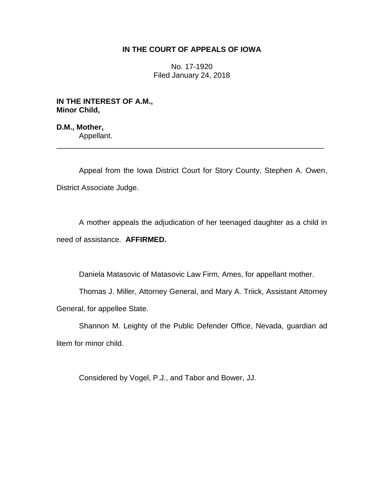## **IN THE COURT OF APPEALS OF IOWA**

No. 17-1920 Filed January 24, 2018

**IN THE INTEREST OF A.M., Minor Child,**

**D.M., Mother,** Appellant.

Appeal from the Iowa District Court for Story County, Stephen A. Owen, District Associate Judge.

\_\_\_\_\_\_\_\_\_\_\_\_\_\_\_\_\_\_\_\_\_\_\_\_\_\_\_\_\_\_\_\_\_\_\_\_\_\_\_\_\_\_\_\_\_\_\_\_\_\_\_\_\_\_\_\_\_\_\_\_\_\_\_\_

A mother appeals the adjudication of her teenaged daughter as a child in need of assistance. **AFFIRMED.**

Daniela Matasovic of Matasovic Law Firm, Ames, for appellant mother.

Thomas J. Miller, Attorney General, and Mary A. Triick, Assistant Attorney General, for appellee State.

Shannon M. Leighty of the Public Defender Office, Nevada, guardian ad litem for minor child.

Considered by Vogel, P.J., and Tabor and Bower, JJ.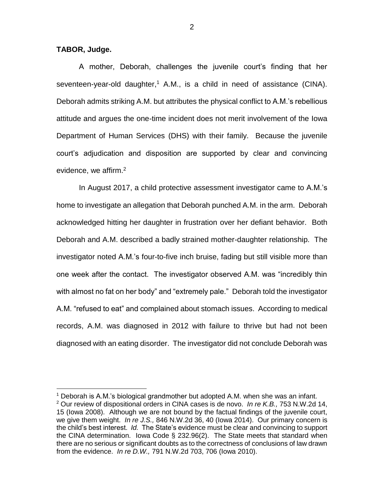**TABOR, Judge.**

 $\overline{a}$ 

A mother, Deborah, challenges the juvenile court's finding that her seventeen-year-old daughter,<sup>1</sup> A.M., is a child in need of assistance (CINA). Deborah admits striking A.M. but attributes the physical conflict to A.M.'s rebellious attitude and argues the one-time incident does not merit involvement of the Iowa Department of Human Services (DHS) with their family. Because the juvenile court's adjudication and disposition are supported by clear and convincing evidence, we affirm.<sup>2</sup>

In August 2017, a child protective assessment investigator came to A.M.'s home to investigate an allegation that Deborah punched A.M. in the arm. Deborah acknowledged hitting her daughter in frustration over her defiant behavior. Both Deborah and A.M. described a badly strained mother-daughter relationship. The investigator noted A.M.'s four-to-five inch bruise, fading but still visible more than one week after the contact. The investigator observed A.M. was "incredibly thin with almost no fat on her body" and "extremely pale." Deborah told the investigator A.M. "refused to eat" and complained about stomach issues. According to medical records, A.M. was diagnosed in 2012 with failure to thrive but had not been diagnosed with an eating disorder. The investigator did not conclude Deborah was

<sup>&</sup>lt;sup>1</sup> Deborah is A.M.'s biological grandmother but adopted A.M. when she was an infant.

<sup>2</sup> Our review of dispositional orders in CINA cases is de novo. *In re K.B.,* 753 N.W.2d 14, 15 (Iowa 2008). Although we are not bound by the factual findings of the juvenile court, we give them weight. *In re J.S.,* 846 N.W.2d 36, 40 (Iowa 2014). Our primary concern is the child's best interest. *Id.* The State's evidence must be clear and convincing to support the CINA determination. Iowa Code § 232.96(2). The State meets that standard when there are no serious or significant doubts as to the correctness of conclusions of law drawn from the evidence. *In re D.W.,* 791 N.W.2d 703, 706 (Iowa 2010).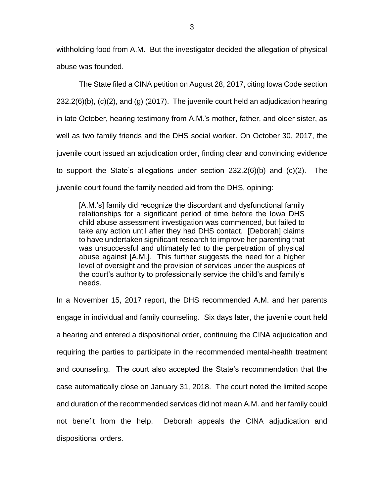withholding food from A.M. But the investigator decided the allegation of physical abuse was founded.

The State filed a CINA petition on August 28, 2017, citing Iowa Code section 232.2(6)(b), (c)(2), and (g) (2017). The juvenile court held an adjudication hearing in late October, hearing testimony from A.M.'s mother, father, and older sister, as well as two family friends and the DHS social worker. On October 30, 2017, the juvenile court issued an adjudication order, finding clear and convincing evidence to support the State's allegations under section 232.2(6)(b) and (c)(2). The juvenile court found the family needed aid from the DHS, opining:

[A.M.'s] family did recognize the discordant and dysfunctional family relationships for a significant period of time before the Iowa DHS child abuse assessment investigation was commenced, but failed to take any action until after they had DHS contact. [Deborah] claims to have undertaken significant research to improve her parenting that was unsuccessful and ultimately led to the perpetration of physical abuse against [A.M.]. This further suggests the need for a higher level of oversight and the provision of services under the auspices of the court's authority to professionally service the child's and family's needs.

In a November 15, 2017 report, the DHS recommended A.M. and her parents engage in individual and family counseling. Six days later, the juvenile court held a hearing and entered a dispositional order, continuing the CINA adjudication and requiring the parties to participate in the recommended mental-health treatment and counseling. The court also accepted the State's recommendation that the case automatically close on January 31, 2018. The court noted the limited scope and duration of the recommended services did not mean A.M. and her family could not benefit from the help. Deborah appeals the CINA adjudication and dispositional orders.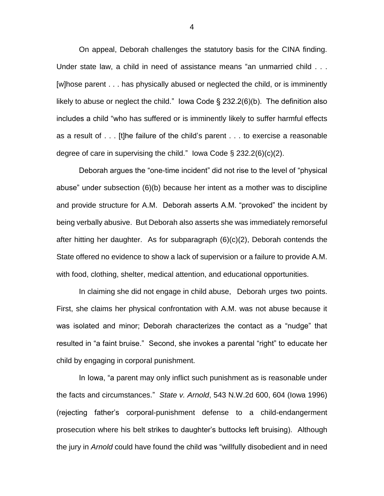On appeal, Deborah challenges the statutory basis for the CINA finding. Under state law, a child in need of assistance means "an unmarried child . . . [w]hose parent . . . has physically abused or neglected the child, or is imminently likely to abuse or neglect the child." Iowa Code § 232.2(6)(b). The definition also includes a child "who has suffered or is imminently likely to suffer harmful effects as a result of . . . [t]he failure of the child's parent . . . to exercise a reasonable degree of care in supervising the child." Iowa Code  $\S 232.2(6)(c)(2)$ .

Deborah argues the "one-time incident" did not rise to the level of "physical abuse" under subsection (6)(b) because her intent as a mother was to discipline and provide structure for A.M. Deborah asserts A.M. "provoked" the incident by being verbally abusive. But Deborah also asserts she was immediately remorseful after hitting her daughter. As for subparagraph (6)(c)(2), Deborah contends the State offered no evidence to show a lack of supervision or a failure to provide A.M. with food, clothing, shelter, medical attention, and educational opportunities.

In claiming she did not engage in child abuse, Deborah urges two points. First, she claims her physical confrontation with A.M. was not abuse because it was isolated and minor; Deborah characterizes the contact as a "nudge" that resulted in "a faint bruise." Second, she invokes a parental "right" to educate her child by engaging in corporal punishment.

In Iowa, "a parent may only inflict such punishment as is reasonable under the facts and circumstances." *State v. Arnold*, 543 N.W.2d 600, 604 (Iowa 1996) (rejecting father's corporal-punishment defense to a child-endangerment prosecution where his belt strikes to daughter's buttocks left bruising). Although the jury in *Arnold* could have found the child was "willfully disobedient and in need

4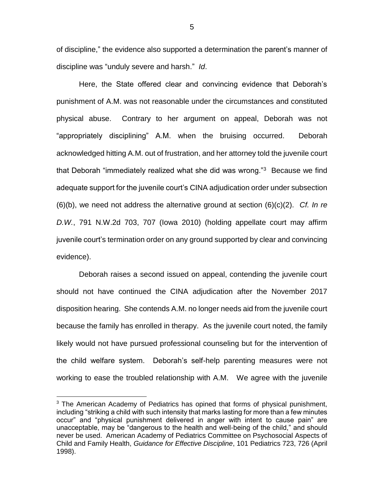of discipline," the evidence also supported a determination the parent's manner of discipline was "unduly severe and harsh." *Id*.

Here, the State offered clear and convincing evidence that Deborah's punishment of A.M. was not reasonable under the circumstances and constituted physical abuse. Contrary to her argument on appeal, Deborah was not "appropriately disciplining" A.M. when the bruising occurred. Deborah acknowledged hitting A.M. out of frustration, and her attorney told the juvenile court that Deborah "immediately realized what she did was wrong."<sup>3</sup> Because we find adequate support for the juvenile court's CINA adjudication order under subsection (6)(b), we need not address the alternative ground at section (6)(c)(2). *Cf. In re D.W.*, 791 N.W.2d 703, 707 (Iowa 2010) (holding appellate court may affirm juvenile court's termination order on any ground supported by clear and convincing evidence).

Deborah raises a second issued on appeal, contending the juvenile court should not have continued the CINA adjudication after the November 2017 disposition hearing. She contends A.M. no longer needs aid from the juvenile court because the family has enrolled in therapy. As the juvenile court noted, the family likely would not have pursued professional counseling but for the intervention of the child welfare system. Deborah's self-help parenting measures were not working to ease the troubled relationship with A.M. We agree with the juvenile

 $\overline{a}$ 

 $3$  The American Academy of Pediatrics has opined that forms of physical punishment, including "striking a child with such intensity that marks lasting for more than a few minutes occur" and "physical punishment delivered in anger with intent to cause pain" are unacceptable, may be "dangerous to the health and well-being of the child," and should never be used. American Academy of Pediatrics Committee on Psychosocial Aspects of Child and Family Health, *Guidance for Effective Discipline*, 101 Pediatrics 723, 726 (April 1998).